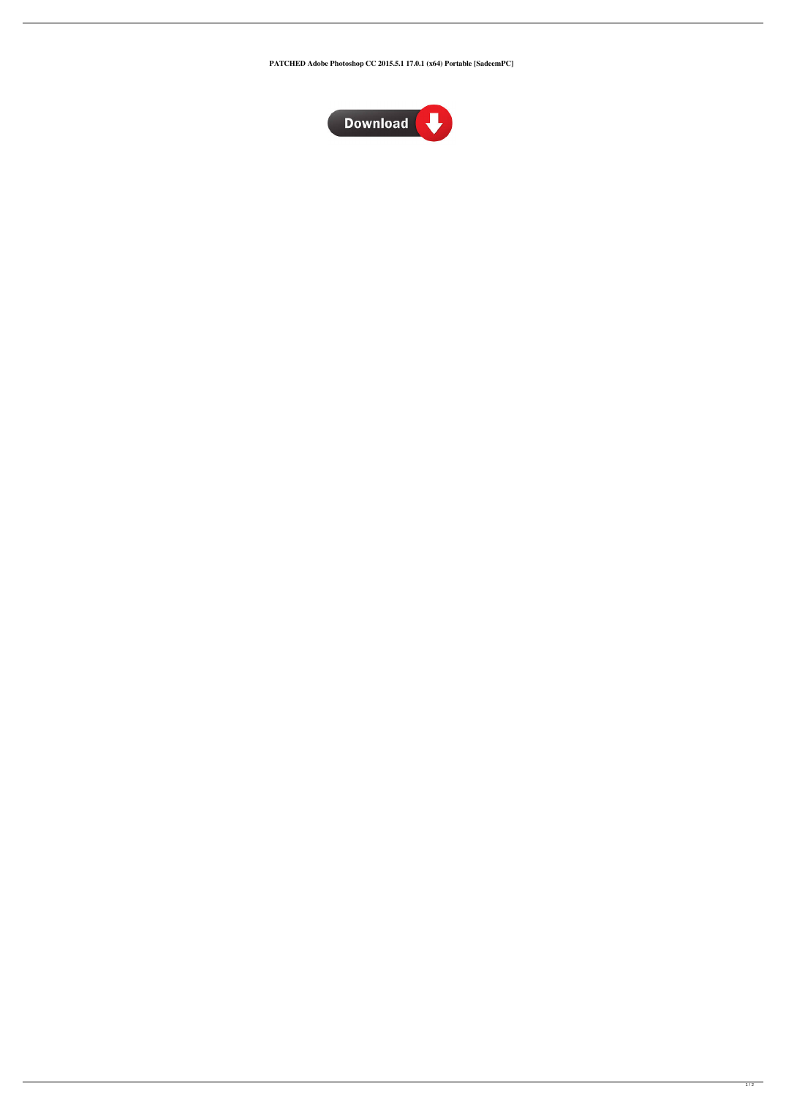**PATCHED Adobe Photoshop CC 2015.5.1 17.0.1 (x64) Portable [SadeemPC]**